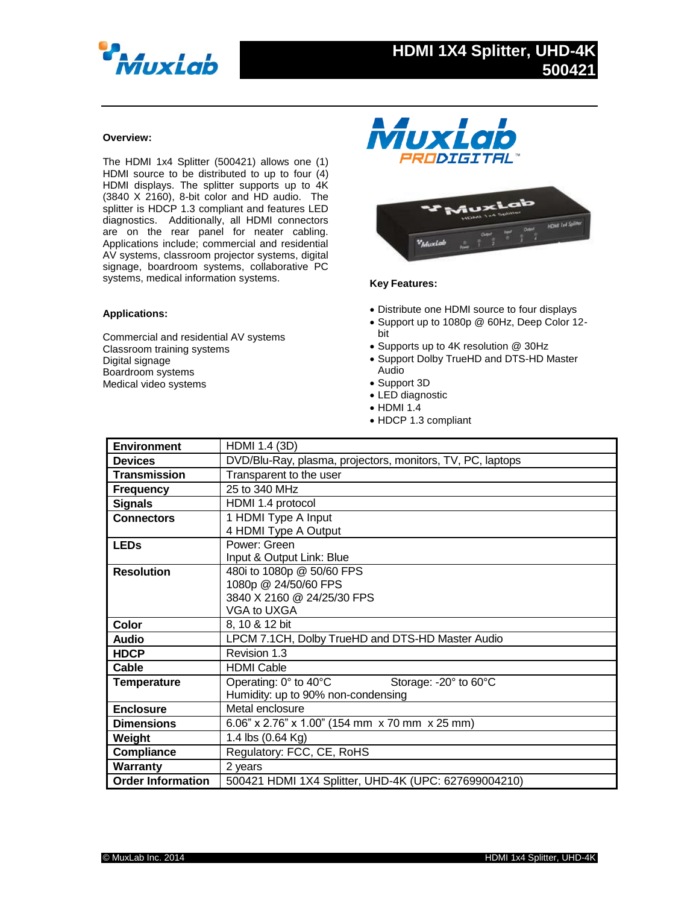

#### **Overview:**

The HDMI 1x4 Splitter (500421) allows one (1) HDMI source to be distributed to up to four (4) HDMI displays. The splitter supports up to 4K (3840 X 2160), 8-bit color and HD audio. The splitter is HDCP 1.3 compliant and features LED diagnostics. Additionally, all HDMI connectors are on the rear panel for neater cabling. Applications include; commercial and residential AV systems, classroom projector systems, digital signage, boardroom systems, collaborative PC systems, medical information systems.

### **Applications:**

Commercial and residential AV systems Classroom training systems Digital signage Boardroom systems Medical video systems





## **Key Features:**

- Distribute one HDMI source to four displays
- Support up to 1080p @ 60Hz, Deep Color 12 bit
- Supports up to 4K resolution @ 30Hz
- Support Dolby TrueHD and DTS-HD Master Audio
- Support 3D
- LED diagnostic
- $\bullet$  HDMI 1.4
- HDCP 1.3 compliant

| <b>Environment</b>       | HDMI 1.4 (3D)                                                  |
|--------------------------|----------------------------------------------------------------|
|                          |                                                                |
| <b>Devices</b>           | DVD/Blu-Ray, plasma, projectors, monitors, TV, PC, laptops     |
| <b>Transmission</b>      | Transparent to the user                                        |
| <b>Frequency</b>         | 25 to 340 MHz                                                  |
| <b>Signals</b>           | HDMI 1.4 protocol                                              |
| <b>Connectors</b>        | 1 HDMI Type A Input                                            |
|                          | 4 HDMI Type A Output                                           |
| <b>LEDs</b>              | Power: Green                                                   |
|                          | Input & Output Link: Blue                                      |
| <b>Resolution</b>        | 480i to 1080p @ 50/60 FPS                                      |
|                          | 1080p @ 24/50/60 FPS                                           |
|                          | 3840 X 2160 @ 24/25/30 FPS                                     |
|                          | VGA to UXGA                                                    |
| <b>Color</b>             | 8, 10 & 12 bit                                                 |
| <b>Audio</b>             | LPCM 7.1CH, Dolby TrueHD and DTS-HD Master Audio               |
| <b>HDCP</b>              | Revision 1.3                                                   |
| Cable                    | <b>HDMI Cable</b>                                              |
| <b>Temperature</b>       | Operating: $0^\circ$ to 40 $^\circ$ C<br>Storage: -20° to 60°C |
|                          | Humidity: up to 90% non-condensing                             |
| <b>Enclosure</b>         | Metal enclosure                                                |
| <b>Dimensions</b>        | 6.06" x 2.76" x 1.00" (154 mm x 70 mm x 25 mm)                 |
| Weight                   | 1.4 lbs (0.64 Kg)                                              |
| Compliance               | Regulatory: FCC, CE, RoHS                                      |
| Warranty                 | 2 years                                                        |
| <b>Order Information</b> | 500421 HDMI 1X4 Splitter, UHD-4K (UPC: 627699004210)           |